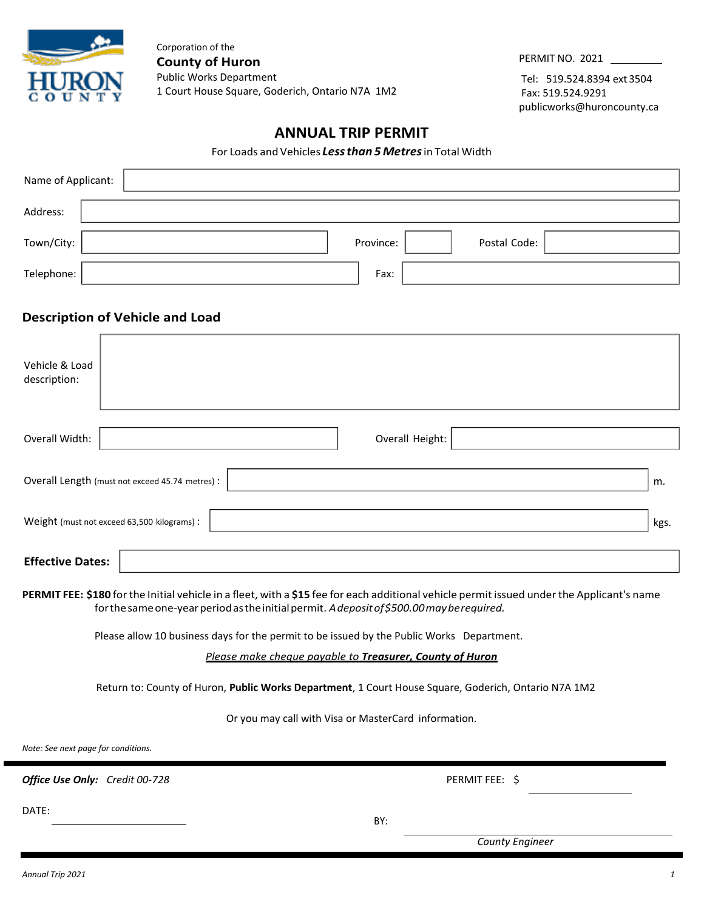

Corporation of the **County of Huron** Public Works Department 1 Court House Square, Goderich, Ontario N7A 1M2

PERMIT NO. 2021

Tel: 519.524.8394 ext 3504 Fax: 519.524.9291 [publicworks@huroncounty.ca](mailto:publicworks@huroncounty.ca)

# **ANNUAL TRIP PERMIT**

For Loads and Vehicles *Lessthan 5Metres*in Total Width

| Name of Applicant:                                                                                                                                                                                                                       |                                                 |  |                 |              |  |      |
|------------------------------------------------------------------------------------------------------------------------------------------------------------------------------------------------------------------------------------------|-------------------------------------------------|--|-----------------|--------------|--|------|
| Address:                                                                                                                                                                                                                                 |                                                 |  |                 |              |  |      |
| Town/City:                                                                                                                                                                                                                               |                                                 |  | Province:       | Postal Code: |  |      |
| Telephone:                                                                                                                                                                                                                               |                                                 |  | Fax:            |              |  |      |
| <b>Description of Vehicle and Load</b>                                                                                                                                                                                                   |                                                 |  |                 |              |  |      |
| Vehicle & Load<br>description:                                                                                                                                                                                                           |                                                 |  |                 |              |  |      |
| Overall Width:                                                                                                                                                                                                                           |                                                 |  | Overall Height: |              |  |      |
|                                                                                                                                                                                                                                          | Overall Length (must not exceed 45.74 metres) : |  |                 |              |  | m.   |
| Weight (must not exceed 63,500 kilograms) :                                                                                                                                                                                              |                                                 |  |                 |              |  | kgs. |
| <b>Effective Dates:</b>                                                                                                                                                                                                                  |                                                 |  |                 |              |  |      |
| PERMIT FEE: \$180 for the Initial vehicle in a fleet, with a \$15 fee for each additional vehicle permit issued under the Applicant's name<br>for the same one-year period as the initial permit. A deposit of \$500.00 may be required. |                                                 |  |                 |              |  |      |
| Please allow 10 business days for the permit to be issued by the Public Works Department.                                                                                                                                                |                                                 |  |                 |              |  |      |
| Please make cheque payable to Treasurer, County of Huron                                                                                                                                                                                 |                                                 |  |                 |              |  |      |
| Return to: County of Huron, Public Works Department, 1 Court House Square, Goderich, Ontario N7A 1M2                                                                                                                                     |                                                 |  |                 |              |  |      |
| Or you may call with Visa or MasterCard information.                                                                                                                                                                                     |                                                 |  |                 |              |  |      |

*Note: See next page for conditions.*

*Office Use Only: Credit 00-728* **PERMIT FEE:** \$

DATE:

BY:

*County Engineer*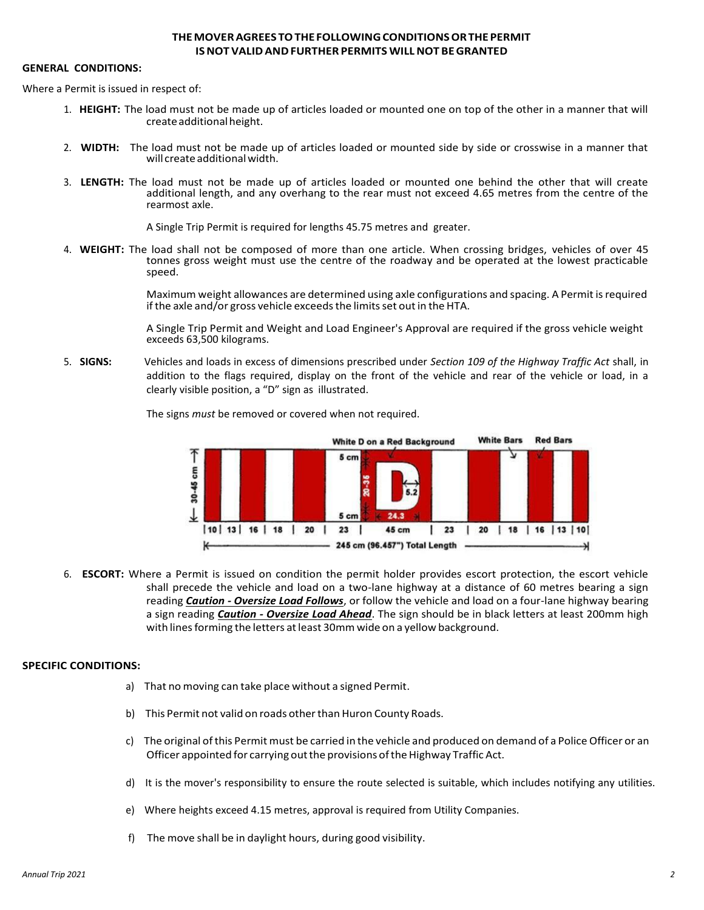## **THEMOVERAGREES TOTHEFOLLOWINGCONDITIONSORTHEPERMIT ISNOT VALIDANDFURTHER PERMITS WILLNOT BEGRANTED**

#### **GENERAL CONDITIONS:**

Where a Permit is issued in respect of:

- 1. **HEIGHT:** The load must not be made up of articles loaded or mounted one on top of the other in a manner that will createadditionalheight.
- 2. **WIDTH:** The load must not be made up of articles loaded or mounted side by side or crosswise in a manner that will create additional width.
- 3. **LENGTH:** The load must not be made up of articles loaded or mounted one behind the other that will create additional length, and any overhang to the rear must not exceed 4.65 metres from the centre of the rearmost axle.

A Single Trip Permit is required for lengths 45.75 metres and greater.

4. **WEIGHT:** The load shall not be composed of more than one article. When crossing bridges, vehicles of over 45 tonnes gross weight must use the centre of the roadway and be operated at the lowest practicable speed.

> Maximum weight allowances are determined using axle configurations and spacing. A Permit isrequired if the axle and/or gross vehicle exceeds the limits set out in the HTA.

> A Single Trip Permit and Weight and Load Engineer's Approval are required if the gross vehicle weight exceeds 63,500 kilograms.

5. **SIGNS:** Vehicles and loads in excess of dimensions prescribed under *Section 109 of the Highway Traffic Act* shall, in addition to the flags required, display on the front of the vehicle and rear of the vehicle or load, in a clearly visible position, a "D" sign as illustrated.



The signs *must* be removed or covered when not required.

6. **ESCORT:** Where a Permit is issued on condition the permit holder provides escort protection, the escort vehicle shall precede the vehicle and load on a two-lane highway at a distance of 60 metres bearing a sign reading *Caution - Oversize Load Follows*, or follow the vehicle and load on a four-lane highway bearing a sign reading *Caution - Oversize Load Ahead*. The sign should be in black letters at least 200mm high with lines forming the letters at least 30mm wide on a yellow background.

### **SPECIFIC CONDITIONS:**

- a) That no moving can take place without a signed Permit.
- b) This Permit not valid on roads other than Huron County Roads.
- c) The original ofthis Permit must be carried in the vehicle and produced on demand of a Police Officer or an Officer appointed for carrying out the provisions of the Highway Traffic Act.
- d) It is the mover's responsibility to ensure the route selected is suitable, which includes notifying any utilities.
- e) Where heights exceed 4.15 metres, approval is required from Utility Companies.
- f) The move shall be in daylight hours, during good visibility.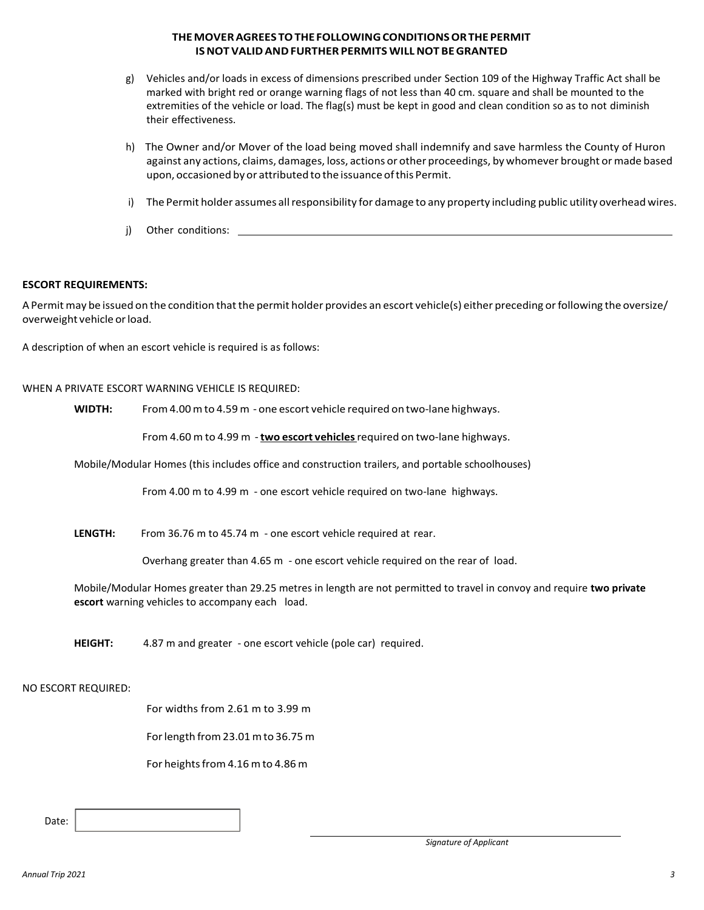## **THEMOVERAGREES TOTHEFOLLOWINGCONDITIONSORTHEPERMIT ISNOT VALIDANDFURTHER PERMITS WILLNOT BEGRANTED**

- g) Vehicles and/or loads in excess of dimensions prescribed under Section 109 of the Highway Traffic Act shall be marked with bright red or orange warning flags of not less than 40 cm. square and shall be mounted to the extremities of the vehicle or load. The flag(s) must be kept in good and clean condition so as to not diminish their effectiveness.
- h) The Owner and/or Mover of the load being moved shall indemnify and save harmless the County of Huron against any actions, claims, damages, loss, actions or other proceedings, by whomever brought ormade based upon, occasioned by or attributed to the issuance ofthis Permit.
- i) The Permit holder assumes all responsibility for damage to any property including public utility overhead wires.
- j) Other conditions:

### **ESCORT REQUIREMENTS:**

A Permit may be issued on the condition that the permit holder provides an escort vehicle(s) either preceding or following the oversize/ overweight vehicle orload.

A description of when an escort vehicle is required is as follows:

#### WHEN A PRIVATE ESCORT WARNING VEHICLE IS REQUIRED:

**WIDTH:** From4.00 mto 4.59 m - one escort vehicle required on two-lane highways.

From 4.60 m to 4.99 m -**two escort vehicles**required on two-lane highways.

Mobile/Modular Homes (this includes office and construction trailers, and portable schoolhouses)

From 4.00 m to 4.99 m - one escort vehicle required on two-lane highways.

**LENGTH:** From 36.76 m to 45.74 m - one escort vehicle required at rear.

Overhang greater than 4.65 m - one escort vehicle required on the rear of load.

Mobile/Modular Homes greater than 29.25 metres in length are not permitted to travel in convoy and require **two private escort** warning vehicles to accompany each load.

**HEIGHT:** 4.87 m and greater - one escort vehicle (pole car) required.

#### NO ESCORT REQUIRED:

For widths from 2.61 m to 3.99 m

Forlength from23.01mto 36.75 m

For heights from 4.16 m to 4.86 m

Date: